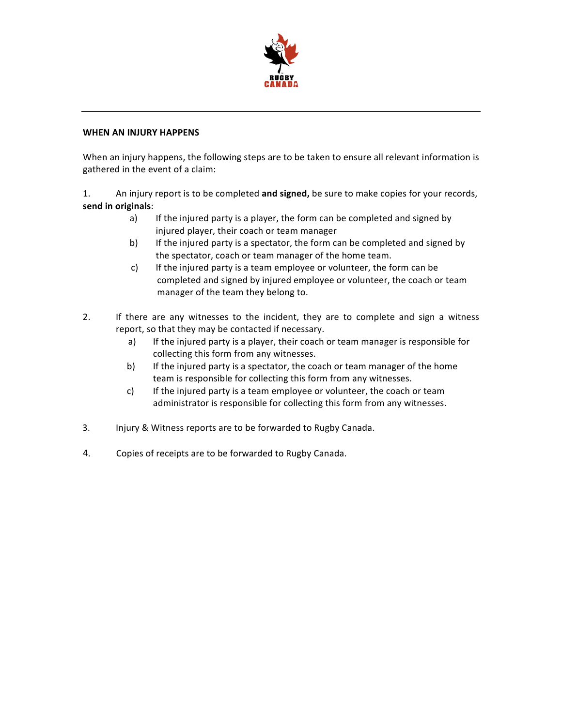

## **WHEN AN INJURY HAPPENS**

When an injury happens, the following steps are to be taken to ensure all relevant information is gathered in the event of a claim:

1. An injury report is to be completed **and signed,** be sure to make copies for your records, send in originals:

- a) If the injured party is a player, the form can be completed and signed by injured player, their coach or team manager
- b) If the injured party is a spectator, the form can be completed and signed by the spectator, coach or team manager of the home team.
- c) If the injured party is a team employee or volunteer, the form can be completed and signed by injured employee or volunteer, the coach or team manager of the team they belong to.
- 2. If there are any witnesses to the incident, they are to complete and sign a witness report, so that they may be contacted if necessary.
	- a) If the injured party is a player, their coach or team manager is responsible for collecting this form from any witnesses.
	- b) If the injured party is a spectator, the coach or team manager of the home team is responsible for collecting this form from any witnesses.
	- c) If the injured party is a team employee or volunteer, the coach or team administrator is responsible for collecting this form from any witnesses.
- 3. Injury & Witness reports are to be forwarded to Rugby Canada.
- 4. Copies of receipts are to be forwarded to Rugby Canada.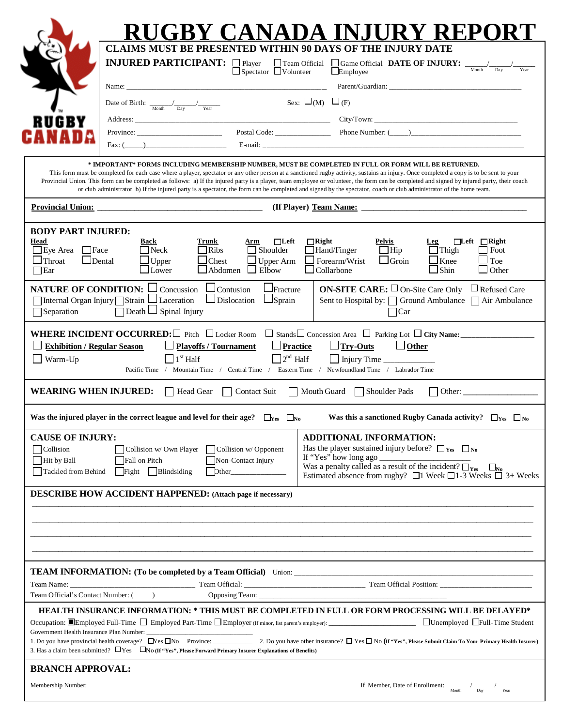|                                                                                                              |                                                                                                                                                                                                                                                                          | UGBY CANADA INJURY REPORT                                                                                                                                                                                                                                                                                                                                                               |  |  |  |  |
|--------------------------------------------------------------------------------------------------------------|--------------------------------------------------------------------------------------------------------------------------------------------------------------------------------------------------------------------------------------------------------------------------|-----------------------------------------------------------------------------------------------------------------------------------------------------------------------------------------------------------------------------------------------------------------------------------------------------------------------------------------------------------------------------------------|--|--|--|--|
|                                                                                                              | <b>CLAIMS MUST BE PRESENTED WITHIN 90 DAYS OF THE INJURY DATE</b>                                                                                                                                                                                                        |                                                                                                                                                                                                                                                                                                                                                                                         |  |  |  |  |
|                                                                                                              | <b>INJURED PARTICIPANT:</b> □ Player<br>$\Box$ Team Official<br>$\Box$ Spectator $\Box$ Volunteer                                                                                                                                                                        | Game Official DATE OF INJURY:<br>Month<br>$\Box$ Employee                                                                                                                                                                                                                                                                                                                               |  |  |  |  |
|                                                                                                              |                                                                                                                                                                                                                                                                          |                                                                                                                                                                                                                                                                                                                                                                                         |  |  |  |  |
|                                                                                                              | Date of Birth: $\frac{1}{\sqrt{N_{\text{out}}}}$ $\frac{1}{\sqrt{N_{\text{ear}}}}$                                                                                                                                                                                       | Sex: $\square_{(M)} \square_{(F)}$                                                                                                                                                                                                                                                                                                                                                      |  |  |  |  |
| RUGBY                                                                                                        |                                                                                                                                                                                                                                                                          |                                                                                                                                                                                                                                                                                                                                                                                         |  |  |  |  |
|                                                                                                              | Fax: (                                                                                                                                                                                                                                                                   | Province: Postal Code: Postal Code: Phone Number: (Comparison of the Number of Contraction of the Number of Contraction of the Number of Contraction of the Number of Contraction of the Number of Contraction of the Number o                                                                                                                                                          |  |  |  |  |
|                                                                                                              | MPORTANT* FORMS INCLUDING MEMBERSHIP NUMBER, MUST BE COMPLETED IN FULL OR FORM WILL BE RETURNED. *<br>or club administrator b) If the injured party is a spectator, the form can be completed and signed by the spectator, coach or club administrator of the home team. | This form must be completed for each case where a player, spectator or any other person at a sanctioned rugby activity, sustains an injury. Once completed a copy is to be sent to your<br>Provincial Union. This form can be completed as follows: a) If the injured party is a player, team employee or volunteer, the form can be completed and signed by injured party, their coach |  |  |  |  |
|                                                                                                              | <u>Provincial Union:</u>                                                                                                                                                                                                                                                 |                                                                                                                                                                                                                                                                                                                                                                                         |  |  |  |  |
| <b>BODY PART INJURED:</b><br>Head<br>∐Eye Area<br>$ $   Face<br>$\Box$ Throat<br>$\Box$ Dental<br>$\Box$ Ear | <b>Back</b><br>$\Box$ Left<br>Trunk<br>Arm<br>Shoulder<br><b>Neck</b><br><b>Ribs</b><br>Chest<br>$\Box$ Upper Arm<br>$\Box$ Upper<br>$\Box$ Abdomen<br>$\Box$ Elbow<br>$\Box$ Lower                                                                                      | $\Box$ Right<br>Pelvis<br>$\Box$ Left $\Box$ Right<br>Leg<br>Hand/Finger<br>$\Box$ Hip<br>$\Box$ Thigh<br>  Foot<br>$\Box$ Groin<br>$\Box$ Knee<br>Toe<br>Forearm/Wrist<br>⊿Shin<br>$\Box$ Collarbone<br>$\Box$ Other                                                                                                                                                                   |  |  |  |  |
| <b>NATURE OF CONDITION:</b><br>Internal Organ Injury Strain<br>Separation                                    | Contusion<br>Fracture<br>Concussion<br>$\perp$ Laceration<br>Dislocation<br>$\Box$ Sprain<br>$\Box$ Spinal Injury<br>$\Box$ Death                                                                                                                                        | <b>ON-SITE CARE:</b> $\Box$ On-Site Care Only $\Box$ Refused Care<br>Sent to Hospital by: □ Ground Ambulance □ Air Ambulance<br>$\Box$ Car                                                                                                                                                                                                                                              |  |  |  |  |
| <b>Exhibition / Regular Season</b><br>$\Box$<br>Warm-Up                                                      | WHERE INCIDENT OCCURRED: $\Box$ Pitch $\Box$ Locker Room<br><b>Playoffs / Tournament</b><br>$\Box$ Practice<br>$\Box$ 2 <sup>nd</sup> Half<br>$1st$ Half<br>Pacific Time /<br>Mountain Time / Central Time / Eastern Time /                                              | $\Box$ Stands $\Box$ Concession Area $\Box$ Parking Lot $\Box$ City Name:<br>$\Box$ Try-Outs<br>$\Box$ Other<br>Injury Time<br>Newfoundland Time / Labrador Time                                                                                                                                                                                                                        |  |  |  |  |
| <b>WEARING WHEN INJURED:</b>                                                                                 | Head Gear<br>Contact Suit                                                                                                                                                                                                                                                | Mouth Guard Shoulder Pads<br>Other:                                                                                                                                                                                                                                                                                                                                                     |  |  |  |  |
|                                                                                                              | Was the injured player in the correct league and level for their age? $\Box_{\text{Yes}}$ $\Box_{\text{No}}$                                                                                                                                                             | Was this a sanctioned Rugby Canada activity? $\Box_{\text{Yes}}$ $\Box_{\text{No}}$                                                                                                                                                                                                                                                                                                     |  |  |  |  |
| <b>CAUSE OF INJURY:</b><br>Collision<br>Hit by Ball<br>Tackled from Behind                                   | Collision w/ Own Player $\Box$ Collision w/ Opponent<br>Non-Contact Injury<br>Fall on Pitch<br>Fight Blindsiding<br>Dther                                                                                                                                                | <b>ADDITIONAL INFORMATION:</b><br>Has the player sustained injury before? $\Box$ Yes $\Box$ No<br>If "Yes" how long ago<br>$\square_{\rm No}$<br>Estimated absence from rugby? $\Box$ 1 Week $\Box$ 1-3 Weeks $\Box$ 3+ Weeks                                                                                                                                                           |  |  |  |  |
|                                                                                                              | <b>DESCRIBE HOW ACCIDENT HAPPENED:</b> (Attach page if necessary)                                                                                                                                                                                                        |                                                                                                                                                                                                                                                                                                                                                                                         |  |  |  |  |
|                                                                                                              |                                                                                                                                                                                                                                                                          |                                                                                                                                                                                                                                                                                                                                                                                         |  |  |  |  |
|                                                                                                              |                                                                                                                                                                                                                                                                          |                                                                                                                                                                                                                                                                                                                                                                                         |  |  |  |  |
|                                                                                                              |                                                                                                                                                                                                                                                                          | HEALTH INSURANCE INFORMATION: * THIS MUST BE COMPLETED IN FULL OR FORM PROCESSING WILL BE DELAYED*                                                                                                                                                                                                                                                                                      |  |  |  |  |
|                                                                                                              | 3. Has a claim been submitted? $\Box$ Yes $\Box$ No (If "Yes", Please Forward Primary Insurer Explanations of Benefits)                                                                                                                                                  |                                                                                                                                                                                                                                                                                                                                                                                         |  |  |  |  |
| <b>BRANCH APPROVAL:</b>                                                                                      |                                                                                                                                                                                                                                                                          |                                                                                                                                                                                                                                                                                                                                                                                         |  |  |  |  |
|                                                                                                              |                                                                                                                                                                                                                                                                          | If Member, Date of Enrollment: $\frac{1}{\frac{M_{\text{onth}}}{\text{N}}}}$                                                                                                                                                                                                                                                                                                            |  |  |  |  |